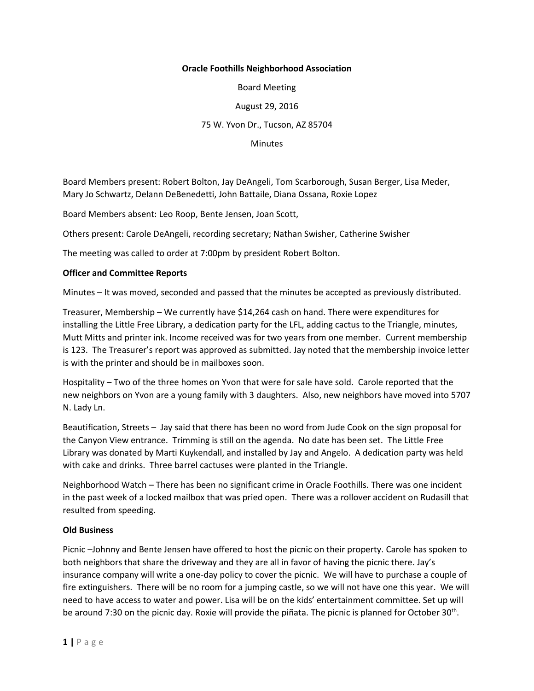## **Oracle Foothills Neighborhood Association**

Board Meeting

August 29, 2016

75 W. Yvon Dr., Tucson, AZ 85704

**Minutes** 

Board Members present: Robert Bolton, Jay DeAngeli, Tom Scarborough, Susan Berger, Lisa Meder, Mary Jo Schwartz, Delann DeBenedetti, John Battaile, Diana Ossana, Roxie Lopez

Board Members absent: Leo Roop, Bente Jensen, Joan Scott,

Others present: Carole DeAngeli, recording secretary; Nathan Swisher, Catherine Swisher

The meeting was called to order at 7:00pm by president Robert Bolton.

## **Officer and Committee Reports**

Minutes – It was moved, seconded and passed that the minutes be accepted as previously distributed.

Treasurer, Membership – We currently have \$14,264 cash on hand. There were expenditures for installing the Little Free Library, a dedication party for the LFL, adding cactus to the Triangle, minutes, Mutt Mitts and printer ink. Income received was for two years from one member. Current membership is 123. The Treasurer's report was approved as submitted. Jay noted that the membership invoice letter is with the printer and should be in mailboxes soon.

Hospitality – Two of the three homes on Yvon that were for sale have sold. Carole reported that the new neighbors on Yvon are a young family with 3 daughters. Also, new neighbors have moved into 5707 N. Lady Ln.

Beautification, Streets – Jay said that there has been no word from Jude Cook on the sign proposal for the Canyon View entrance. Trimming is still on the agenda. No date has been set. The Little Free Library was donated by Marti Kuykendall, and installed by Jay and Angelo. A dedication party was held with cake and drinks. Three barrel cactuses were planted in the Triangle.

Neighborhood Watch – There has been no significant crime in Oracle Foothills. There was one incident in the past week of a locked mailbox that was pried open. There was a rollover accident on Rudasill that resulted from speeding.

## **Old Business**

Picnic –Johnny and Bente Jensen have offered to host the picnic on their property. Carole has spoken to both neighbors that share the driveway and they are all in favor of having the picnic there. Jay's insurance company will write a one-day policy to cover the picnic. We will have to purchase a couple of fire extinguishers. There will be no room for a jumping castle, so we will not have one this year. We will need to have access to water and power. Lisa will be on the kids' entertainment committee. Set up will be around 7:30 on the picnic day. Roxie will provide the piñata. The picnic is planned for October 30<sup>th</sup>.